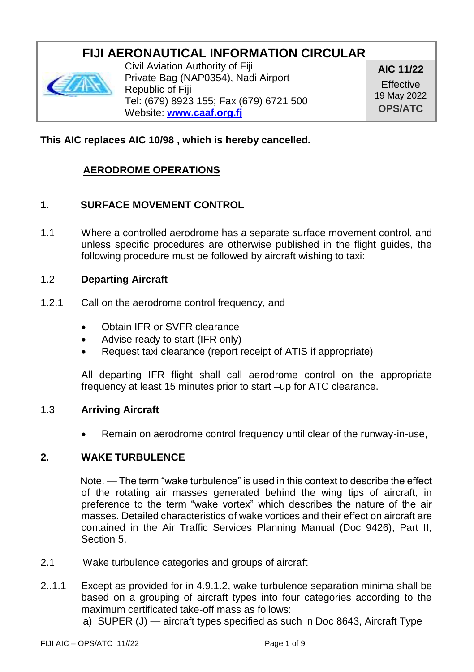# **FIJI AERONAUTICAL INFORMATION CIRCULAR**



Civil Aviation Authority of Fiji Private Bag (NAP0354), Nadi Airport Republic of Fiji Tel: (679) 8923 155; Fax (679) 6721 500 Website: **[www.caaf.org.fj](http://www.caaf.org.fj/)**

**AIC 11/22 Effective** 19 May 2022 **OPS/ATC**

# **This AIC replaces AIC 10/98 , which is hereby cancelled.**

# **AERODROME OPERATIONS**

# **1. SURFACE MOVEMENT CONTROL**

1.1 Where a controlled aerodrome has a separate surface movement control, and unless specific procedures are otherwise published in the flight guides, the following procedure must be followed by aircraft wishing to taxi:

#### 1.2 **Departing Aircraft**

- 1.2.1 Call on the aerodrome control frequency, and
	- Obtain IFR or SVFR clearance
	- Advise ready to start (IFR only)
	- Request taxi clearance (report receipt of ATIS if appropriate)

All departing IFR flight shall call aerodrome control on the appropriate frequency at least 15 minutes prior to start –up for ATC clearance.

#### 1.3 **Arriving Aircraft**

Remain on aerodrome control frequency until clear of the runway-in-use,

### **2. WAKE TURBULENCE**

 Note. — The term "wake turbulence" is used in this context to describe the effect of the rotating air masses generated behind the wing tips of aircraft, in preference to the term "wake vortex" which describes the nature of the air masses. Detailed characteristics of wake vortices and their effect on aircraft are contained in the Air Traffic Services Planning Manual (Doc 9426), Part II, Section 5.

- 2.1 Wake turbulence categories and groups of aircraft
- 2..1.1 Except as provided for in 4.9.1.2, wake turbulence separation minima shall be based on a grouping of aircraft types into four categories according to the maximum certificated take-off mass as follows:
	- a) SUPER (J) aircraft types specified as such in Doc 8643, Aircraft Type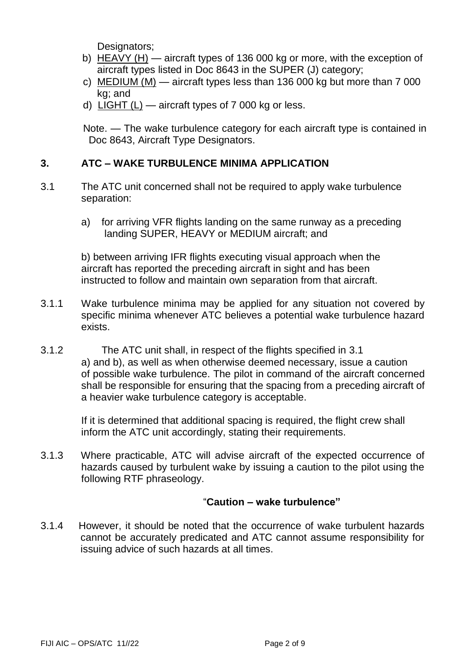Designators:

- b) HEAVY (H) aircraft types of 136 000 kg or more, with the exception of aircraft types listed in Doc 8643 in the SUPER (J) category;
- c) MEDIUM (M) aircraft types less than 136 000 kg but more than 7 000 kg; and
- d) LIGHT (L) aircraft types of 7 000 kg or less.

 Note. — The wake turbulence category for each aircraft type is contained in Doc 8643, Aircraft Type Designators.

# **3. ATC – WAKE TURBULENCE MINIMA APPLICATION**

- 3.1 The ATC unit concerned shall not be required to apply wake turbulence separation:
	- a) for arriving VFR flights landing on the same runway as a preceding landing SUPER, HEAVY or MEDIUM aircraft; and

b) between arriving IFR flights executing visual approach when the aircraft has reported the preceding aircraft in sight and has been instructed to follow and maintain own separation from that aircraft.

- 3.1.1 Wake turbulence minima may be applied for any situation not covered by specific minima whenever ATC believes a potential wake turbulence hazard exists.
- 3.1.2 The ATC unit shall, in respect of the flights specified in 3.1 a) and b), as well as when otherwise deemed necessary, issue a caution of possible wake turbulence. The pilot in command of the aircraft concerned shall be responsible for ensuring that the spacing from a preceding aircraft of a heavier wake turbulence category is acceptable.

If it is determined that additional spacing is required, the flight crew shall inform the ATC unit accordingly, stating their requirements.

3.1.3 Where practicable, ATC will advise aircraft of the expected occurrence of hazards caused by turbulent wake by issuing a caution to the pilot using the following RTF phraseology.

#### "**Caution – wake turbulence"**

3.1.4 However, it should be noted that the occurrence of wake turbulent hazards cannot be accurately predicated and ATC cannot assume responsibility for issuing advice of such hazards at all times.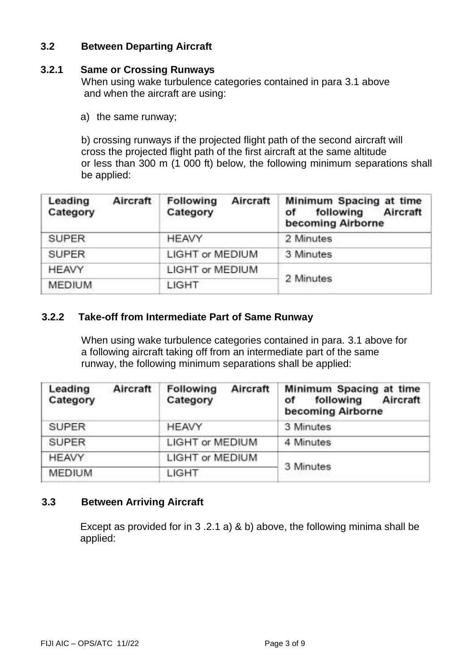### **3.2 Between Departing Aircraft**

#### **3.2.1 Same or Crossing Runways**

When using wake turbulence categories contained in para 3.1 above and when the aircraft are using:

a) the same runway;

b) crossing runways if the projected flight path of the second aircraft will cross the projected flight path of the first aircraft at the same altitude or less than 300 m (1 000 ft) below, the following minimum separations shall be applied:

| Aircraft<br>Leading<br>Category | Following<br>Aircraft<br>Category | Minimum Spacing at time<br>following Aircraft<br>оf<br>becoming Airborne |  |
|---------------------------------|-----------------------------------|--------------------------------------------------------------------------|--|
| <b>SUPER</b>                    | <b>HEAVY</b>                      | 2 Minutes                                                                |  |
| <b>SUPER</b>                    | <b>LIGHT or MEDIUM</b>            | 3 Minutes                                                                |  |
| <b>HEAVY</b>                    | <b>LIGHT or MEDIUM</b>            |                                                                          |  |
| <b>MEDIUM</b>                   | LIGHT                             | 2 Minutes                                                                |  |
|                                 |                                   |                                                                          |  |

#### **3.2.2 Take-off from Intermediate Part of Same Runway**

When using wake turbulence categories contained in para. 3.1 above for a following aircraft taking off from an intermediate part of the same runway, the following minimum separations shall be applied:

| Leading<br>Aircraft<br>Category | Aircraft<br>Following<br>Category | Minimum Spacing at time<br>Aircraft<br>following<br>οf<br>becoming Airborne |
|---------------------------------|-----------------------------------|-----------------------------------------------------------------------------|
| <b>SUPER</b>                    | <b>HEAVY</b>                      | 3 Minutes                                                                   |
| <b>SUPER</b>                    | LIGHT or MEDIUM                   | 4 Minutes                                                                   |
| <b>HEAVY</b>                    | LIGHT or MEDIUM                   |                                                                             |
| <b>MEDIUM</b>                   | LIGHT                             | 3 Minutes                                                                   |
|                                 |                                   |                                                                             |

# **3.3 Between Arriving Aircraft**

 Except as provided for in 3 .2.1 a) & b) above, the following minima shall be applied: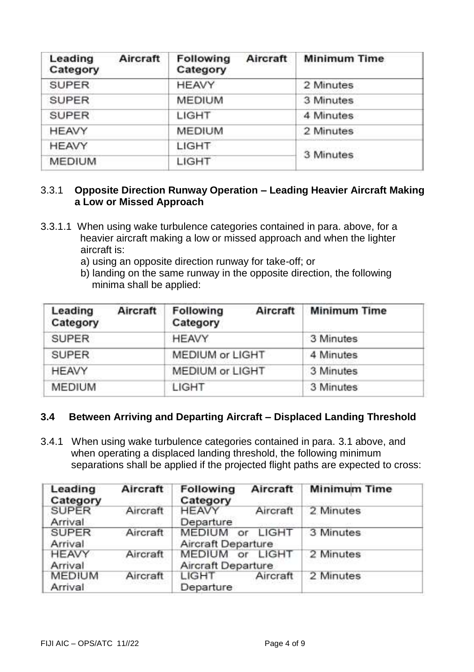| Aircraft<br>Leading<br>Category | <b>Following</b><br>Aircraft<br>Category | <b>Minimum Time</b> |
|---------------------------------|------------------------------------------|---------------------|
| <b>SUPER</b>                    | <b>HEAVY</b>                             | 2 Minutes           |
| <b>SUPER</b>                    | <b>MEDIUM</b>                            | 3 Minutes           |
| <b>SUPER</b>                    | LIGHT                                    | 4 Minutes           |
| <b>HEAVY</b>                    | <b>MEDIUM</b>                            | 2 Minutes           |
| <b>HEAVY</b>                    | LIGHT                                    |                     |
| <b>MEDIUM</b>                   | LIGHT                                    | 3 Minutes           |

# 3.3.1 **Opposite Direction Runway Operation – Leading Heavier Aircraft Making a Low or Missed Approach**

- 3.3.1.1 When using wake turbulence categories contained in para. above, for a heavier aircraft making a low or missed approach and when the lighter aircraft is:
	- a) using an opposite direction runway for take-off; or
	- b) landing on the same runway in the opposite direction, the following minima shall be applied:

| Leading<br>Aircraft<br>Category | Following<br>Aircraft<br>Category | <b>Minimum Time</b> |
|---------------------------------|-----------------------------------|---------------------|
| <b>SUPER</b>                    | <b>HEAVY</b>                      | 3 Minutes           |
| <b>SUPER</b>                    | <b>MEDIUM or LIGHT</b>            | 4 Minutes           |
| <b>HEAVY</b>                    | MEDIUM or LIGHT                   | 3 Minutes           |
| <b>MEDIUM</b>                   | LIGHT                             | 3 Minutes           |

# **3.4 Between Arriving and Departing Aircraft – Displaced Landing Threshold**

3.4.1 When using wake turbulence categories contained in para. 3.1 above, and when operating a displaced landing threshold, the following minimum separations shall be applied if the projected flight paths are expected to cross:

| Leading<br>Category      | Aircraft | Following<br>Aircraft<br>Category                  | <b>Minimum Time</b> |
|--------------------------|----------|----------------------------------------------------|---------------------|
| <b>SUPER</b><br>Arrival  | Aircraft | <b>HEAVY</b><br>Aircraft<br>Departure              | 2 Minutes           |
| <b>SUPER</b><br>Arrival  | Aircraft | <b>MEDIUM</b><br>LIGHT<br>or<br>Aircraft Departure | 3 Minutes           |
| <b>HEAVY</b><br>Arrival  | Aircraft | <b>MEDIUM</b><br>LIGHT<br>or<br>Aircraft Departure | 2 Minutes           |
| <b>MEDIUM</b><br>Arrival | Aircraft | Aircraft<br>LIGHT<br>Departure                     | 2 Minutes           |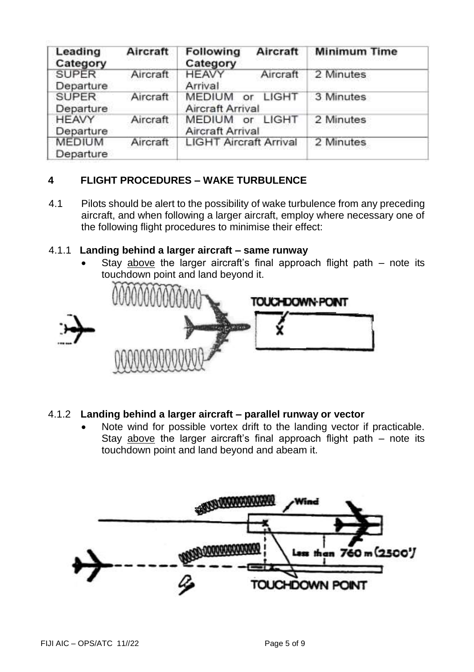| Leading<br>Category        | Aircraft | Following<br>Aircraft<br>Category                              | <b>Minimum Time</b> |
|----------------------------|----------|----------------------------------------------------------------|---------------------|
| <b>SUPER</b><br>Departure  | Aircraft | Aircraft<br><b>HEAVY</b><br>Arrival                            | 2 Minutes           |
| <b>SUPER</b><br>Departure  | Aircraft | LIGHT<br><b>MEDIUM</b><br>or<br><b>Aircraft Arrival</b>        | 3 Minutes           |
| <b>HEAVY</b><br>Departure  | Aircraft | <b>LIGHT</b><br><b>MEDIUM</b><br>or<br><b>Aircraft Arrival</b> | 2 Minutes           |
| <b>MEDIUM</b><br>Departure | Aircraft | <b>LIGHT Aircraft Arrival</b>                                  | 2 Minutes           |

# **4 FLIGHT PROCEDURES – WAKE TURBULENCE**

4.1 Pilots should be alert to the possibility of wake turbulence from any preceding aircraft, and when following a larger aircraft, employ where necessary one of the following flight procedures to minimise their effect:

#### 4.1.1 **Landing behind a larger aircraft – same runway**

Stay above the larger aircraft's final approach flight path  $-$  note its touchdown point and land beyond it.



### 4.1.2 **Landing behind a larger aircraft – parallel runway or vector**

Note wind for possible vortex drift to the landing vector if practicable. Stay above the larger aircraft's final approach flight path – note its touchdown point and land beyond and abeam it.

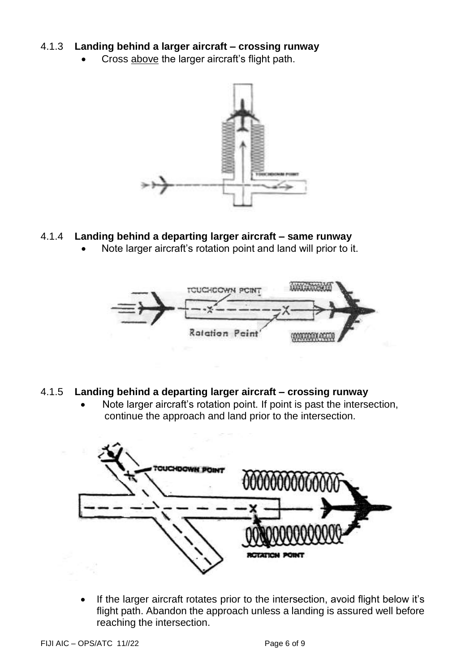### 4.1.3 **Landing behind a larger aircraft – crossing runway**

Cross above the larger aircraft's flight path.



### 4.1.4 **Landing behind a departing larger aircraft – same runway**

• Note larger aircraft's rotation point and land will prior to it.



#### 4.1.5 **Landing behind a departing larger aircraft – crossing runway**

• Note larger aircraft's rotation point. If point is past the intersection, continue the approach and land prior to the intersection.



• If the larger aircraft rotates prior to the intersection, avoid flight below it's flight path. Abandon the approach unless a landing is assured well before reaching the intersection.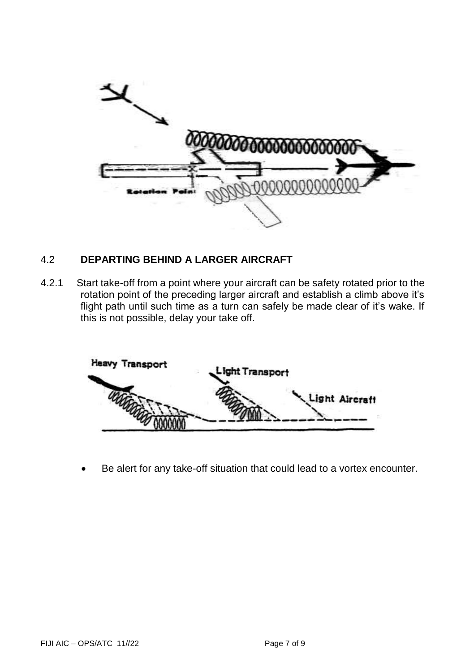

# 4.2 **DEPARTING BEHIND A LARGER AIRCRAFT**

4.2.1 Start take-off from a point where your aircraft can be safety rotated prior to the rotation point of the preceding larger aircraft and establish a climb above it's flight path until such time as a turn can safely be made clear of it's wake. If this is not possible, delay your take off.



Be alert for any take-off situation that could lead to a vortex encounter.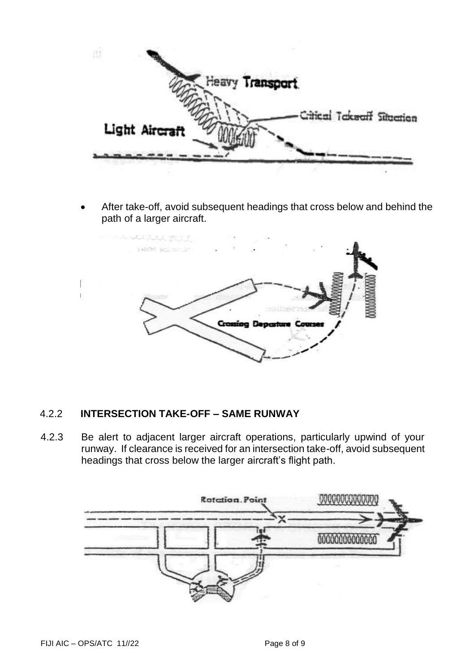

• After take-off, avoid subsequent headings that cross below and behind the path of a larger aircraft.



### 4.2.2 **INTERSECTION TAKE-OFF – SAME RUNWAY**

4.2.3 Be alert to adjacent larger aircraft operations, particularly upwind of your runway. If clearance is received for an intersection take-off, avoid subsequent headings that cross below the larger aircraft's flight path.